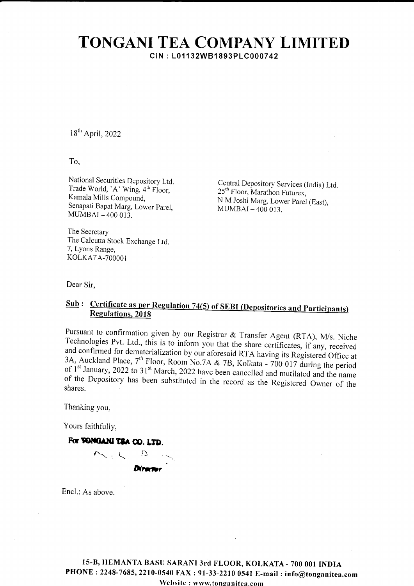## TONGANI TEA COMPANY LIMITED CIN : L01 1 32WB1893PLC0007 42

18th April,2022

To,

National Securities Depository Ltd. Trade World, 'A' Wing,  $4^{\text{th}}$  Floor, Kamala Mills Compound, Senapati Bapat Marg, Lower parel,  $MUMBAI - 400013$ .

The Secretary The Calcutta Stock Exchange Ltd. 7, Lyons Range, KOLKATA-700001

Central Depository Services (India) Ltd.  $25<sup>th</sup>$  Floor, Marathon Futurex, N M Joshi Marg, Lower parel (East),  $MUMBAI - 400013$ .

Dear Sir,

## Sub: Certificate as per Regulation 74(5) of SEBI (Depositories and Participants Regulations, 2018

Pursuant to confirmation given by our Registrar & Transfer Agent (RTA), M/s. Niche<br>Technologies Pvt. Ltd., this is to inform you that the share certificates, if any, received<br>and confirmed for dematerialization by our afo

Thanking you,

Yours faithfully,

For **TOMGANI TEA CO. LTD.**  $\sum_{n=1}^{\infty}$ 

Encl.: As above.